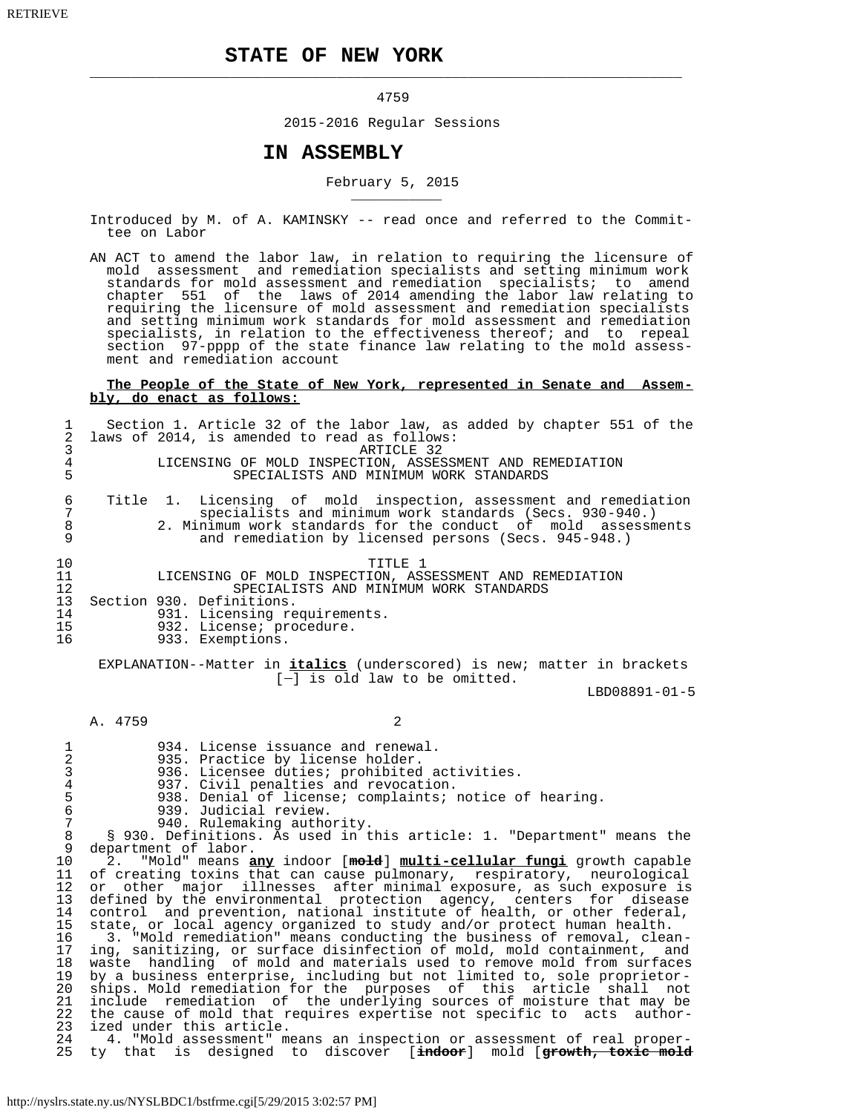## **STATE OF NEW YORK**

\_\_\_\_\_\_\_\_\_\_\_\_\_\_\_\_\_\_\_\_\_\_\_\_\_\_\_\_\_\_\_\_\_\_\_\_\_\_\_\_\_\_\_\_\_\_\_\_\_\_\_\_\_\_\_\_\_\_\_\_\_\_\_\_\_\_\_\_\_\_\_\_

#### 4759

2015-2016 Regular Sessions

## **IN ASSEMBLY**

 $\overline{\phantom{a}}$  , and the contract of the contract of the contract of the contract of the contract of the contract of the contract of the contract of the contract of the contract of the contract of the contract of the contrac

# February 5, 2015

- Introduced by M. of A. KAMINSKY -- read once and referred to the Commit tee on Labor
- AN ACT to amend the labor law, in relation to requiring the licensure of mold assessment and remediation specialists and setting minimum work standards for mold assessment and remediation specialists; to amend chapter 551 of the laws of 2014 amending the labor law relating to requiring the licensure of mold assessment and remediation specialists and setting minimum work standards for mold assessment and remediation specialists, in relation to the effectiveness thereof; and to repeal section 97-pppp of the state finance law relating to the mold assess ment and remediation account

#### **The People of the State of New York, represented in Senate and Assem bly, do enact as follows:**

| 1<br>2<br>3<br>$\overline{4}$<br>5                                                                                                                                                |                                                                                                                                                                                                                                                          |                      | Section 1. Article 32 of the labor law, as added by chapter 551 of the<br>laws of 2014, is amended to read as follows:<br>LICENSING OF MOLD INSPECTION, ASSESSMENT AND REMEDIATION                                                                                                                                                                                                                                                                                                                                                                                                                                                                                                                                                                                                                                                                                                                                                                                                                                                                                                                                                                                                                                                                                                                                                                                                                                                                                                                                       | SPECIALISTS AND MINIMUM WORK STANDARDS | ARTICLE 32 |  |  |  |  |               |  |     |
|-----------------------------------------------------------------------------------------------------------------------------------------------------------------------------------|----------------------------------------------------------------------------------------------------------------------------------------------------------------------------------------------------------------------------------------------------------|----------------------|--------------------------------------------------------------------------------------------------------------------------------------------------------------------------------------------------------------------------------------------------------------------------------------------------------------------------------------------------------------------------------------------------------------------------------------------------------------------------------------------------------------------------------------------------------------------------------------------------------------------------------------------------------------------------------------------------------------------------------------------------------------------------------------------------------------------------------------------------------------------------------------------------------------------------------------------------------------------------------------------------------------------------------------------------------------------------------------------------------------------------------------------------------------------------------------------------------------------------------------------------------------------------------------------------------------------------------------------------------------------------------------------------------------------------------------------------------------------------------------------------------------------------|----------------------------------------|------------|--|--|--|--|---------------|--|-----|
| 6<br>7<br>$\,8\,$<br>9                                                                                                                                                            | Title 1.<br>Licensing of mold inspection, assessment and remediation<br>specialists and minimum work standards (Secs. 930-940.)<br>2. Minimum work standards for the conduct of mold assessments<br>and remediation by licensed persons (Secs. 945-948.) |                      |                                                                                                                                                                                                                                                                                                                                                                                                                                                                                                                                                                                                                                                                                                                                                                                                                                                                                                                                                                                                                                                                                                                                                                                                                                                                                                                                                                                                                                                                                                                          |                                        |            |  |  |  |  |               |  |     |
| 10<br>11<br>12<br>13<br>14<br>15<br>16                                                                                                                                            |                                                                                                                                                                                                                                                          |                      | LICENSING OF MOLD INSPECTION, ASSESSMENT AND REMEDIATION<br>Section 930. Definitions.<br>931. Licensing requirements.<br>932. License; procedure.<br>933. Exemptions.                                                                                                                                                                                                                                                                                                                                                                                                                                                                                                                                                                                                                                                                                                                                                                                                                                                                                                                                                                                                                                                                                                                                                                                                                                                                                                                                                    | SPECIALISTS AND MINIMUM WORK STANDARDS | TITLE 1    |  |  |  |  |               |  |     |
| EXPLANATION--Matter in <i>italics</i> (underscored) is new; matter in brackets<br>$[-]$ is old law to be omitted.                                                                 |                                                                                                                                                                                                                                                          |                      |                                                                                                                                                                                                                                                                                                                                                                                                                                                                                                                                                                                                                                                                                                                                                                                                                                                                                                                                                                                                                                                                                                                                                                                                                                                                                                                                                                                                                                                                                                                          |                                        |            |  |  |  |  |               |  |     |
|                                                                                                                                                                                   |                                                                                                                                                                                                                                                          |                      |                                                                                                                                                                                                                                                                                                                                                                                                                                                                                                                                                                                                                                                                                                                                                                                                                                                                                                                                                                                                                                                                                                                                                                                                                                                                                                                                                                                                                                                                                                                          |                                        |            |  |  |  |  | LBD08891-01-5 |  |     |
|                                                                                                                                                                                   | A. 4759                                                                                                                                                                                                                                                  |                      |                                                                                                                                                                                                                                                                                                                                                                                                                                                                                                                                                                                                                                                                                                                                                                                                                                                                                                                                                                                                                                                                                                                                                                                                                                                                                                                                                                                                                                                                                                                          |                                        | 2          |  |  |  |  |               |  |     |
| 1<br>$\overline{a}$<br>3<br>$\,4$<br>5<br>6<br>$\overline{7}$<br>8<br>$\mathsf 9$<br>10<br>11<br>12<br>13<br>14<br>15<br>16<br>17<br>18<br>19<br>20<br>21<br>22<br>23<br>24<br>25 | 2.                                                                                                                                                                                                                                                       | department of labor. | 934. License issuance and renewal.<br>935. Practice by license holder.<br>936. Licensee duties; prohibited activities.<br>937. Civil penalties and revocation.<br>938. Denial of license; complaints; notice of hearing.<br>939. Judicial review.<br>940. Rulemaking authority.<br>§ 930. Definitions. As used in this article: 1. "Department" means the<br>"Mold" means any indoor [mold] multi-cellular fungi growth capable<br>of creating toxins that can cause pulmonary, respiratory, neurological<br>or other major illnesses after minimal exposure, as such exposure is<br>defined by the environmental protection agency, centers for disease<br>control and prevention, national institute of health, or other federal,<br>state, or local agency organized to study and/or protect human health.<br>3. "Mold remediation" means conducting the business of removal, clean-<br>ing, sanitizing, or surface disinfection of mold, mold containment, and<br>waste handling of mold and materials used to remove mold from surfaces<br>by a business enterprise, including but not limited to, sole proprietor-<br>ships. Mold remediation for the purposes of this article shall<br>include remediation of the underlying sources of moisture that may be<br>the cause of mold that requires expertise not specific to acts author-<br>ized under this article.<br>4. "Mold assessment" means an inspection or assessment of real proper-<br>ty that is designed to discover [indoor] mold [growth, toxic mold |                                        |            |  |  |  |  |               |  | not |
|                                                                                                                                                                                   |                                                                                                                                                                                                                                                          |                      |                                                                                                                                                                                                                                                                                                                                                                                                                                                                                                                                                                                                                                                                                                                                                                                                                                                                                                                                                                                                                                                                                                                                                                                                                                                                                                                                                                                                                                                                                                                          |                                        |            |  |  |  |  |               |  |     |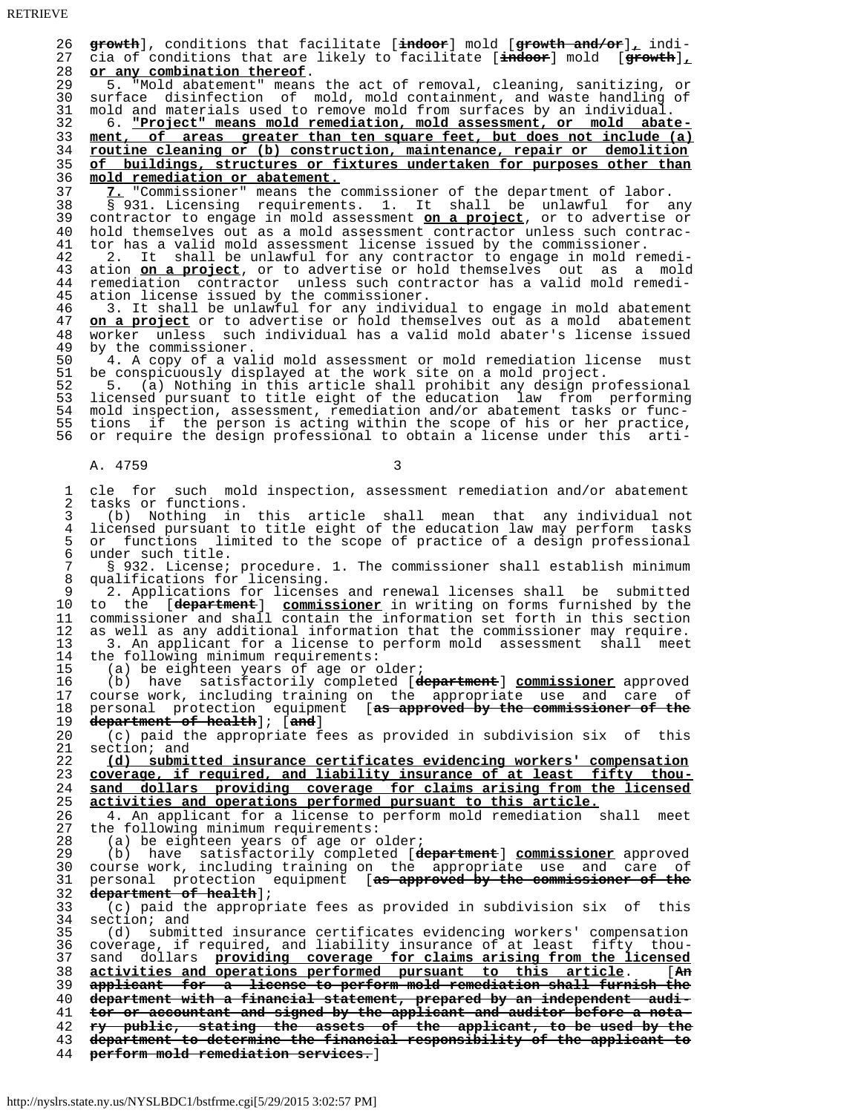26 **growth**], conditions that facilitate [**indoor**] mold [**growth and/or**]**,** indi- 27 cia of conditions that are likely to facilitate [**indoor**] mold [**growth**]**,** 28 **or any combination thereof**. 29 5. "Mold abatement" means the act of removal, cleaning, sanitizing, or<br>30 surface disinfection of mold mold containment, and waste handling of 30 surface disinfection of mold, mold containment, and waste handling of 31 mold and materials used to remove mold from surfaces by an individual. 31 mold and materials used to remove mold from surfaces by an individual.<br>32 6. "Project" means mold remediation, mold assessment, or mold abat 32 6. **"Project" means mold remediation, mold assessment, or mold abate-** 33 **ment, of areas greater than ten square feet, but does not include (a)** 34 **routine cleaning or (b) construction, maintenance, repair or demolition** 35 **of buildings, structures or fixtures undertaken for purposes other than** 36 **mold remediation or abatement.** 37 **7.** "Commissioner" means the commissioner of the department of labor. 38 § 931. Licensing requirements. 1. It shall be unlawful for any 39 contractor to engage in mold assessment **on a project**, or to advertise or 40 hold themselves out as a mold assessment contractor unless such contrac-<br>41 tor has a valid mold assessment license issued by the commissioner. 41 tor has a valid mold assessment license issued by the commissioner. 42 2. It shall be unlawful for any contractor to engage in mold remedi- 43 ation **on a project**, or to advertise or hold themselves out as a mold 44 remediation contractor unless such contractor has a valid mold remedi- 45 ation license issued by the commissioner. 46 3. It shall be unlawful for any individual to engage in mold abatement 47 on a project or to advertise or hold themselves out as a mold abatement 47 **on a project** or to advertise or hold themselves out as a mold abatement 48 worker unless such individual has a valid mold abater's license issued 48 worker unless such individual has a valid mold abater's license issued 49 by the commissioner.<br>50 4. A copy of a val 50 4. A copy of a valid mold assessment or mold remediation license must<br>51 be conspicuously displayed at the work site on a mold project. 51 be conspicuously displayed at the work site on a mold project.<br>52 5. (a) Nothing in this article shall prohibit any design pr 52 5. (a) Nothing in this article shall prohibit any design professional 53 licensed pursuant to title eight of the education law from performing 54 mold inspection, assessment, remediation and/or abatement tasks or func-<br>55 tions if the person is acting within the scope of his or her practice 55 tions if the person is acting within the scope of his or her practice,<br>56 or require the design professional to obtain a license under this artior require the design professional to obtain a license under this arti-A. 4759 3 1 cle for such mold inspection, assessment remediation and/or abatement 2 tasks or functions. 3 (b) Nothing in this article shall mean that any individual not 4 licensed pursuant to title eight of the education law may perform tasks<br>5 or functions limited to the scope of practice of a design professional 5 or functions limited to the scope of practice of a design professional<br>6 under such title. 6 under such title.<br>7 8 932. License: 7 § 932. License; procedure. 1. The commissioner shall establish minimum 8 qualifications for licensing.<br>9 2 Applications for license 9 2. Applications for licenses and renewal licenses shall be submitted 10 to the [**department**] **commissioner** in writing on forms furnished by the 11 commissioner and shall contain the information set forth in this section<br>12 as well as any additional information that the commissioner may require. 12 as well as any additional information that the commissioner may require.<br>13 3. An applicant for a license to perform mold assessment shall meet 13 3. An applicant for a license to perform mold assessment shall meet 14 the following minimum requirements:<br>15 (a) be eighteen years of age or 15 (a) be eighteen years of age or older;<br>16 (b) have satisfactorily completed  $[d\cdot]$  16 (b) have satisfactorily completed [**department**] **commissioner** approved 17 course work, including training on the appropriate use and care of 18 personal protection equipment [**as approved by the commissioner of the** 19 **department of health**]; [**and**] 20 (c) paid the appropriate fees as provided in subdivision six of this 21 section; and<br>22  $(d)$  submit 22 **(d) submitted insurance certificates evidencing workers' compensation** 23 **coverage, if required, and liability insurance of at least fifty thou-** 24 **sand dollars providing coverage for claims arising from the licensed** 25 **activities and operations performed pursuant to this article.** 26 4. An applicant for a license to perform mold remediation shall meet<br>27 the following minimum requirements: 27 the following minimum requirements:<br>28 (a) be eighteen years of age or o 28 (a) be eighteen years of age or older;<br>29 (b) have satisfactorily completed  $\overline{d}$  29 (b) have satisfactorily completed [**department**] **commissioner** approved 30 course work, including training on the appropriate use and care of 31 personal protection equipment [**as approved by the commissioner of the** 32 **department of health**]; 33 (c) paid the appropriate fees as provided in subdivision six of this  $34$  section; and<br> $35$  (d) submit 35 (d) submitted insurance certificates evidencing workers' compensation 36 coverage, if required, and liability insurance of at least fifty thou- 37 sand dollars **providing coverage for claims arising from the licensed** 38 **activities and operations performed pursuant to this article**. [**An** 39 **applicant for a license to perform mold remediation shall furnish the** 40 **department with a financial statement, prepared by an independent audi-** 41 **tor or accountant and signed by the applicant and auditor before a nota-** 42 **ry public, stating the assets of the applicant, to be used by the** 43 **department to determine the financial responsibility of the applicant to** 44 **perform mold remediation services.**]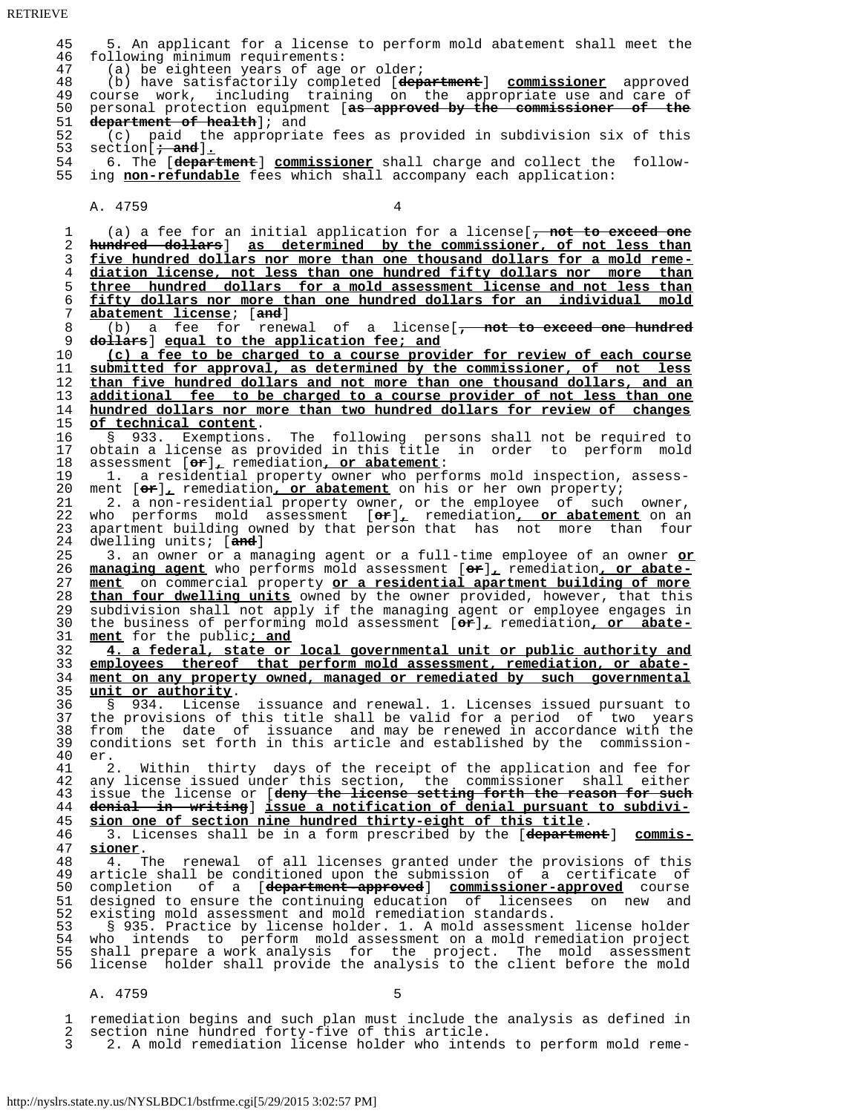RETRIEVE

 45 5. An applicant for a license to perform mold abatement shall meet the 46 following minimum requirements:<br>47 (a) be eighteen years of age 47 (a) be eighteen years of age or older;<br>48 (b) have satisfactorily completed [dep 48 (b) have satisfactorily completed [**department**] **commissioner** approved 49 course work, including training on the appropriate use and care of<br>50 personal protection equipment (as approved by the commissioner of the 50 personal protection equipment [**as approved by the commissioner of the** 51 **department of health**]; and<br>52 (c) paid the appropriat 52 (c) paid the appropriate fees as provided in subdivision six of this section  $\frac{1}{t}$  and  $\frac{1}{t}$ . 54 6. The [department] commissioner shall charge and collect the follow-<br>55 ing non-refundable fees which shall accompany each application: ing **non-refundable** fees which shall accompany each application: A. 4759 1 (a) a fee for an initial application for a license[**, not to exceed one** 2 **hundred dollars**] **as determined by the commissioner, of not less than** 3 **five hundred dollars nor more than one thousand dollars for a mold reme-** 4 **diation license, not less than one hundred fifty dollars nor more than** 5 **three hundred dollars for a mold assessment license and not less than** 6 **fifty dollars nor more than one hundred dollars for an individual mold** 7 **abatement license**; [**and**] 8 (b) a fee for renewal of a license[**, not to exceed one hundred** 9 **dollars**] **equal to the application fee; and** 10 **(c) a fee to be charged to a course provider for review of each course** 11 **submitted for approval, as determined by the commissioner, of not less** 12 **than five hundred dollars and not more than one thousand dollars, and an** 13 **additional fee to be charged to a course provider of not less than one** 14 **hundred dollars nor more than two hundred dollars for review of changes** 15 **of technical content**.<br>16 § 933. Exemptions 16 § 933. Exemptions. The following persons shall not be required to 17 obtain a license as provided in this title in order to perform mold 18 assessment [**or**]**,** remediation**, or abatement**: 19 1. a residential property owner who performs mold inspection, assess-<br>20 ment  $[\sigma \mathbf{r}]_L$  remediation, or abatement on his or her own property; 20 ment  $[\text{or}]\text{]}$ , remediation, or abatement on his or her own property;<br>21 2. a non-residential property owner, or the employee of such 21 2. a non-residential property owner, or the employee of such owner,<br>22 who performs mold assessment [or], remediation, or abatement on an 22 who performs mold assessment [**or**]**,** remediation**, or abatement** on an 23 apartment building owned by that person that has not more than four<br>24 dwelling units; [and] 24 dwelling units; [**and**]<br>25 3. an owner or a ma 25 3. an owner or a managing agent or a full-time employee of an owner **or** 26 **managing agent** who performs mold assessment [**or**]**,** remediation**, or abate-** 27 **ment** on commercial property **or a residential apartment building of more** 28 **than four dwelling units** owned by the owner provided, however, that this 29 subdivision shall not apply if the managing agent or employee engages in  $30$  the business of performing mold assessment  $\sigma$ ; remediation, or abate- 30 the business of performing mold assessment [**or**]**,** remediation**, or abate-** 31 **ment** for the public**; and** 32 **4. a federal, state or local governmental unit or public authority and** 33 **employees thereof that perform mold assessment, remediation, or abate-** 34 **ment on any property owned, managed or remediated by such governmental** 35 **unit or authority**. 36 § 934. License issuance and renewal. 1. Licenses issued pursuant to 37 the provisions of this title shall be valid for a period of two years  $38$  from the date of issuance and may be renewed in accordance with the commission-<br>39 conditions set forth in this article and established by the commission- 39 conditions set forth in this article and established by the commission- 40 er. 41 2. Within thirty days of the receipt of the application and fee for<br>42 any license issued under this section, the commissioner shall either 42 any license issued under this section, the commissioner shall either<br>43 issue the license or [deny the license setting forth the reason for such 43 issue the license or [**deny the license setting forth the reason for such** 44 **denial in writing**] **issue a notification of denial pursuant to subdivi-** 45 **sion one of section nine hundred thirty-eight of this title**. 46 3. Licenses shall be in a form prescribed by the [**department**] **commis-** 47 **sioner**. 48 4. The renewal of all licenses granted under the provisions of this<br>49 article shall be conditioned upon the submission of a certificate of 49 article shall be conditioned upon the submission of a certificate of<br>50 completion of a [department-approved] commissioner-approved course 50 completion of a [**department-approved**] **commissioner-approved** course 51 designed to ensure the continuing education of licensees on new and<br>52 existing mold assessment and mold remediation standards. 52 existing mold assessment and mold remediation standards.<br>53 § 935. Practice by license holder. 1. A mold assessmen 53 § 935. Practice by license holder. 1. A mold assessment license holder 54 who intends to perform mold assessment on a mold remediation project<br>55 shall prepare a work analysis for the project. The mold assessment 55 shall prepare a work analysis for the project. The mold assessment<br>56 license holder shall provide the analysis to the client before the mold license holder shall provide the analysis to the client before the mold A. 4759 5

1 remediation begins and such plan must include the analysis as defined in 2 section nine hundred forty-five of this article. 2 section nine hundred forty-five of this article.<br>3 2. A mold remediation license holder who intend

3 2. A mold remediation license holder who intends to perform mold reme-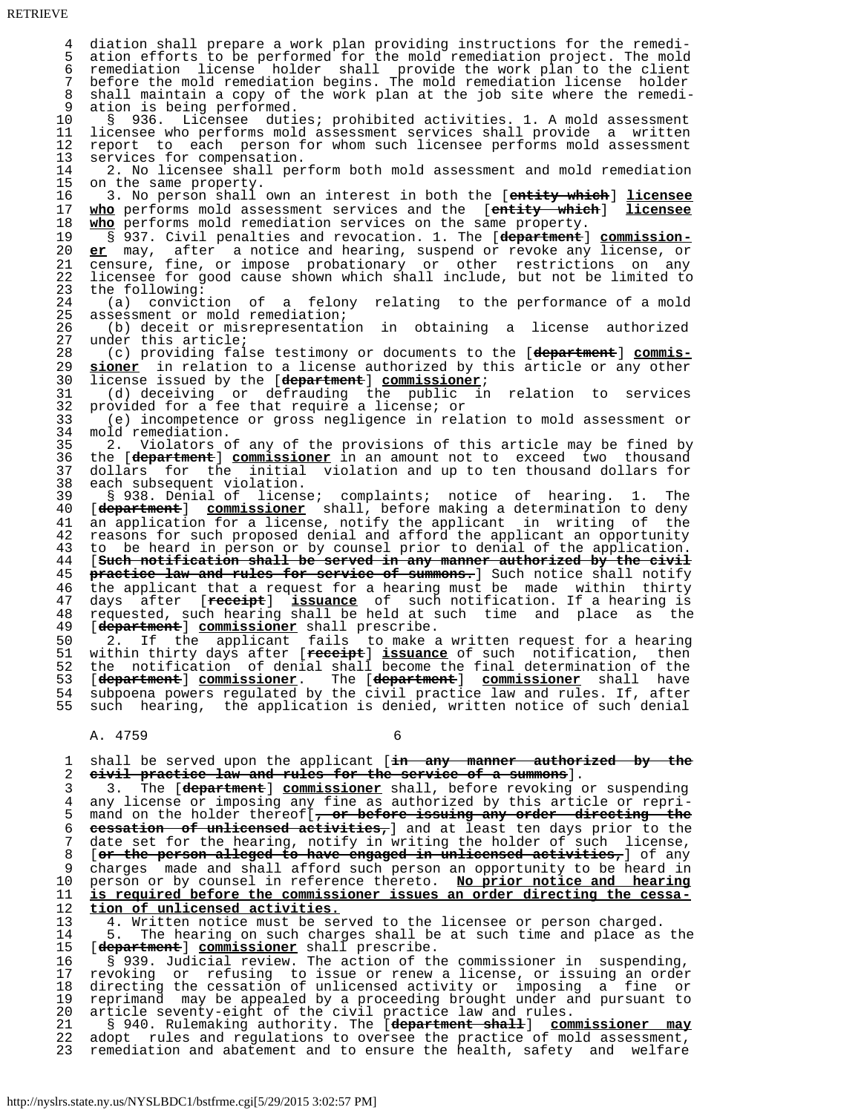4 diation shall prepare a work plan providing instructions for the remedi- 5 ation efforts to be performed for the mold remediation project. The mold 6 remediation license holder shall provide the work plan to the client 7 before the mold remediation begins. The mold remediation license holder 8 shall maintain a copy of the work plan at the job site where the remedi-<br>9 ation is being performed. 9 ation is being performed.<br>10 § 936. Licensee duti 10 § 936. Licensee duties; prohibited activities. 1. A mold assessment<br>11 licensee who performs mold assessment services shall provide a written 11 licensee who performs mold assessment services shall provide a written<br>12 report to each person for whom such licensee performs mold assessment 12 report to each person for whom such licensee performs mold assessment<br>13 services for compensation. 13 services for compensation.<br>14 2. No licensee shall per 14 2. No licensee shall perform both mold assessment and mold remediation<br>15 on the same property. 15 on the same property.<br>16 3. No person shall 16 3. No person shall own an interest in both the [**entity which**] **licensee** 17 **who** performs mold assessment services and the [**entity which**] **licensee** 18 **who** performs mold remediation services on the same property.<br>19 § 937. Civil penalties and revocation. 1. The [department] 19 § 937. Civil penalties and revocation. 1. The [**department**] **commission-** 20 **er** may, after a notice and hearing, suspend or revoke any license, or 21 censure, fine, or impose probationary or other restrictions on any<br>22 licensee for good cause shown which shall include, but not be limited to 22 licensee for good cause shown which shall include, but not be limited to 23 the following: 23 the following:<br>24 (a) convict 24 (a) conviction of a felony relating to the performance of a mold 25 assessment or mold remediation; 26 (b) deceit or misrepresentation in obtaining a license authorized 27 under this article;<br>28 (c) providing fal 28 (c) providing false testimony or documents to the [**department**] **commis-** 29 **sioner** in relation to a license authorized by this article or any other<br>30 license issued by the [department] commissioner; 30 license issued by the [**department**] **commissioner**; 31 (d) deceiving or defrauding the public in relation to services 32 provided for a fee that require a license; or<br>33 (e) incompetence or gross negligence in rela 33 (e) incompetence or gross negligence in relation to mold assessment or 34 mold remediation.<br>35 2. Violators c 35 2. Violators of any of the provisions of this article may be fined by 36 the [**department**] **commissioner** in an amount not to exceed two thousand 37 dollars for the initial violation and up to ten thousand dollars for<br>38 each subsequent violation. 38 each subsequent violation.<br>39 § 938. Denial of licens 39 § 938. Denial of license; complaints; notice of hearing. 1. The 40 [**department**] **commissioner** shall, before making a determination to deny 41 an application for a license, notify the applicant in writing of the<br>42 reasons for such proposed denial and afford the applicant an opportunity 42 reasons for such proposed denial and afford the applicant an opportunity<br>43 to be heard in person or by counsel prior to denial of the application. 43 to be heard in person or by counsel prior to denial of the application.<br>44 [such notification shall be served in any manner authorized by the civil 44 [**Such notification shall be served in any manner authorized by the civil** 45 **practice law and rules for service of summons.**] Such notice shall notify 46 the applicant that a request for a hearing must be made within thirty<br>47 days after [receipt] issuance of such notification. If a hearing is 47 days after [**receipt**] **issuance** of such notification. If a hearing is 48 requested, such hearing shall be held at such time and place as the 49 [**department**] **commissioner** shall prescribe. 50 2. If the applicant fails to make a written request for a hearing 51 within thirty days after [**receipt**] **issuance** of such notification, then 52 the notification of denial shall become the final determination of the 53 [**department**] **commissioner**. The [**department**] **commissioner** shall have 54 subpoena powers regulated by the civil practice law and rules. If, after<br>55 such hearing, the application is denied, written notice of such denial such hearing, the application is denied, written notice of such denial A. 4759 6

 1 shall be served upon the applicant [**in any manner authorized by the** 2 **civil practice law and rules for the service of a summons**].

 3 3. The [**department**] **commissioner** shall, before revoking or suspending 4 any license or imposing any fine as authorized by this article or repri-<br>5 mand on the holder thereoff. or before issuing any order directing the 5 mand on the holder thereof[**, or before issuing any order directing the** 6 **cessation of unlicensed activities,**] and at least ten days prior to the 7 date set for the hearing, notify in writing the holder of such license,<br>8 [or the person alleged to have engaged in unlicensed activities, of any 8 [**or the person alleged to have engaged in unlicensed activities,**] of any 9 charges made and shall afford such person an opportunity to be heard in<br>10 person or by counsel in reference thereto. No prior notice and hearing 10 person or by counsel in reference thereto. **No prior notice and hearing** 11 **is required before the commissioner issues an order directing the cessa-** 12 **tion of unlicensed activities.**

13 4. Written notice must be served to the licensee or person charged.<br>14 5. The hearing on such charges shall be at such time and place as 14 5. The hearing on such charges shall be at such time and place as the 15 (department) commissioner shall prescribe.

 15 [**department**] **commissioner** shall prescribe. 16 § 939. Judicial review. The action of the commissioner in suspending,<br>17 revoking or refusing to issue or renew a license, or issuing an order 17 revoking or refusing to issue or renew a license, or issuing an order<br>18 directing the cessation of unlicensed activity or imposing a fine or 18 directing the cessation of unlicensed activity or imposing a fine or 19 reprimand may be appealed by a proceeding brought under and pursuant to 20 article seventy-eight of the civil practice law and rules.

 21 § 940. Rulemaking authority. The [**department shall**] **commissioner may** 22 adopt rules and regulations to oversee the practice of mold assessment,<br>23 remediation and abatement and to ensure the health, safety and welfare remediation and abatement and to ensure the health, safety and welfare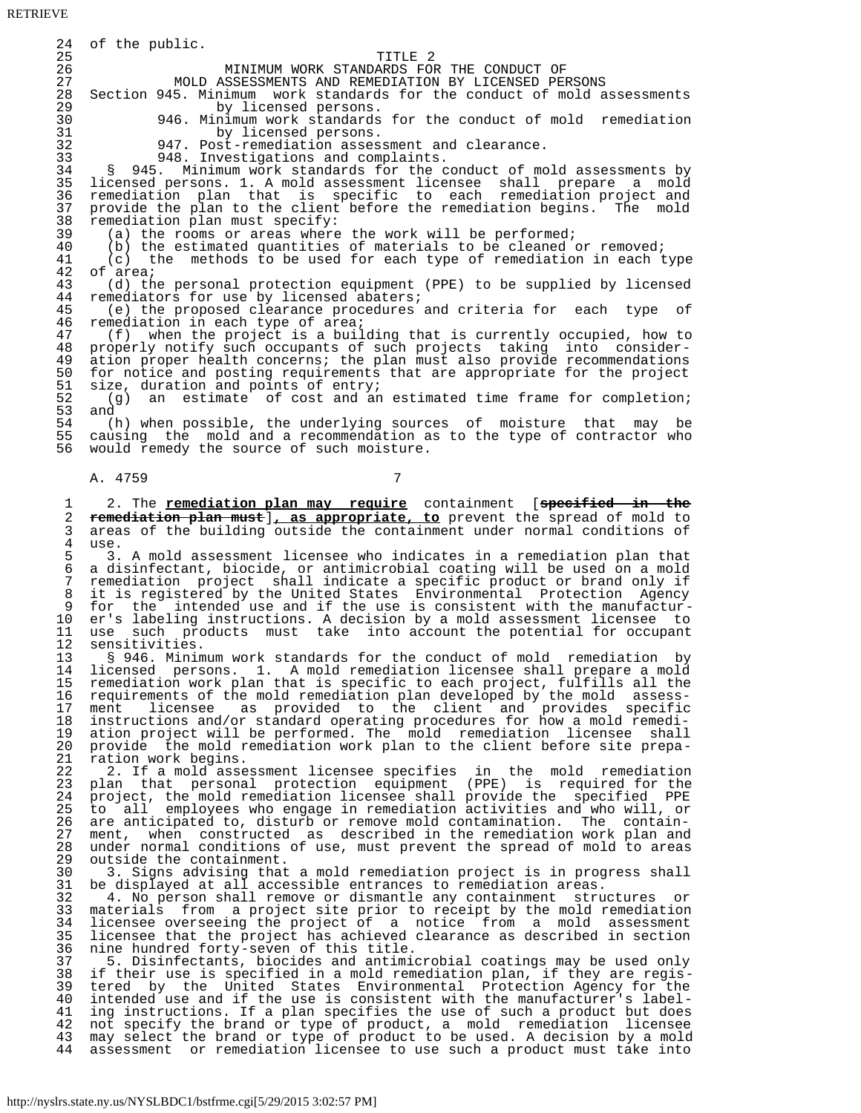RETRIEVE

24 of the public.<br>25 25 TITLE 2 26 MINIMUM WORK STANDARDS FOR THE CONDUCT OF 27 MOLD ASSESSMENTS AND REMEDIATION BY LICENSED PERSONS<br>28 Section 945. Minimum work standards for the conduct of mold a 28 Section 945. Minimum work standards for the conduct of mold assessments<br>29 by licensed persons. 29 by licensed persons.<br>30 946. Minimum work standards 30 946. Minimum work standards for the conduct of mold remediation 31 by licensed persons.<br>32 947. Post-remediation asses 32 947. Post-remediation assessment and clearance.<br>33 948. Investigations and complaints. 33 948. Investigations and complaints.<br>34 8 945. Minimum work standards for the c 34 § 945. Minimum work standards for the conduct of mold assessments by 35 licensed persons. 1. A mold assessment licensee shall prepare a mold 36 remediation plan that is specific to each remediation project and 37 provide the plan to the client before the remediation begins. The mold<br>38 remediation plan must specify: 38 remediation plan must specify:<br>39 (a) the rooms or areas where 39 (a) the rooms or areas where the work will be performed;<br>40 (b) the estimated quantities of materials to be cleaned of 40 (b) the estimated quantities of materials to be cleaned or removed;<br>41 (c) the methods to be used for each type of remediation in each t 41 (c) the methods to be used for each type of remediation in each type 42 of area; 42 of  $area$ ;<br>43 (d) th 43 (d) the personal protection equipment (PPE) to be supplied by licensed 44 remediators for use by licensed abaters;<br>45 (e) the proposed clearance procedures 45 (e) the proposed clearance procedures and criteria for each type of<br>46 remediation in each type of area; 46 remediation in each type of area;<br>47 (f) when the project is a buil 47 (f) when the project is a building that is currently occupied, how to 48 properly notify such occupants of such projects taking into consider- 48 properly notify such occupants of such projects taking into consider- 49 ation proper health concerns; the plan must also provide recommendations 50 for notice and posting requirements that are appropriate for the project  $51$  size, duration and points of entry; 51 size, duration and points of entry;<br>52 (g) an estimate of cost and an 52 (g) an estimate of cost and an estimated time frame for completion; 53 and 54 (h) when possible, the underlying sources of moisture that may be<br>55 causing the mold and a recommendation as to the type of contractor who 55 causing the mold and a recommendation as to the type of contractor who<br>56 would remedy the source of such moisture. would remedy the source of such moisture. A. 4759 7 1 2. The **remediation plan may require** containment [**specified in the** 2 **remediation plan must**]**, as appropriate, to** prevent the spread of mold to 3 areas of the building outside the containment under normal conditions of  $\frac{4}{100}$ 4 use.<br>5 3. 5 3. A mold assessment licensee who indicates in a remediation plan that<br>6 a disinfectant, biocide, or antimicrobial coating will be used on a mold 6 a disinfectant, biocide, or antimicrobial coating will be used on a mold 7 remediation project shall indicate a specific product or brand only if 8 it is registered by the United States Environmental Protection Agency 9 for the intended use and if the use is consistent with the manufactur- 10 er's labeling instructions. A decision by a mold assessment licensee to 11 use such products must take into account the potential for occupant 12 sensitivities.<br>13 8 946 Minim 13 § 946. Minimum work standards for the conduct of mold remediation by<br>14 licensed persons. 1. A mold remediation licensee shall prepare a mold 14 licensed persons. 1. A mold remediation licensee shall prepare a mold 15 remediation work plan that is specific to each project, fulfills all the<br>16 requirements of the mold remediation plan developed by the mold assess- 16 requirements of the mold remediation plan developed by the mold assess- 17 ment licensee as provided to the client and provides specific<br>18 instructions and/or-standard-operating-procedures-for-how-a-mold-remedi-18 instructions and/or standard operating procedures for how a mold remedi-<br>19 ation project will be performed. The mold remediation licensee shall 19 ation project will be performed. The mold remediation licensee shall<br>20 provide the mold remediation work plan to the client before site prepa-20 provide the mold remediation work plan to the client before site prepa-<br>21 ration work begins. 21 ration work begins.<br>22 2. If a mold asse 22 <sup>2</sup>. If a mold assessment licensee specifies in the mold remediation 23 plan that personal protection equipment (PPE) is required for the 24 project, the mold remediation licensee shall provide the specified PPE<br>25 to all employees who engage in remediation activities and who will, or 25 to all employees who engage in remediation activities and who will, or<br>26 are anticipated to, disturb or remove mold contamination. The contain-26 are anticipated to, disturb or remove mold contamination. The contain-<br>27 ment, when constructed as described in the remediation work plan and 27 ment, when constructed as described in the remediation work plan and<br>28 under normal conditions of use, must prevent the spread of mold to areas 28 under normal conditions of use, must prevent the spread of mold to areas 29 outside the containment. 30 3. Signs advising that a mold remediation project is in progress shall<br>31 be displayed at all accessible entrances to remediation areas. 31 be displayed at all accessible entrances to remediation areas. 32 4. No person shall remove or dismantle any containment structures or 33 materials from a project site prior to receipt by the mold remediation<br>34 licensee overseeing the project of a notice from a mold assessment 34 licensee overseeing the project of a notice from a mold assessment<br>35 licensee that the project has achieved clearance as described in section 35 licensee that the project has achieved clearance as described in section 36 nine hundred forty-seven of this title. 37 5. Disinfectants, biocides and antimicrobial coatings may be used only 38 if their use is specified in a mold remediation plan, if they are regis- 39 tered by the United States Environmental Protection Agency for the 40 intended use and if the use is consistent with the manufacturer's label- 41 ing instructions. If a plan specifies the use of such a product but does<br>42 not specify the brand or type of product, a mold remediation licensee 42 not specify the brand or type of product, a mold remediation licensee 43 may select the brand or type of product to be used. A decision by a mold 44 assessment or remediation licensee to use such a product must take into